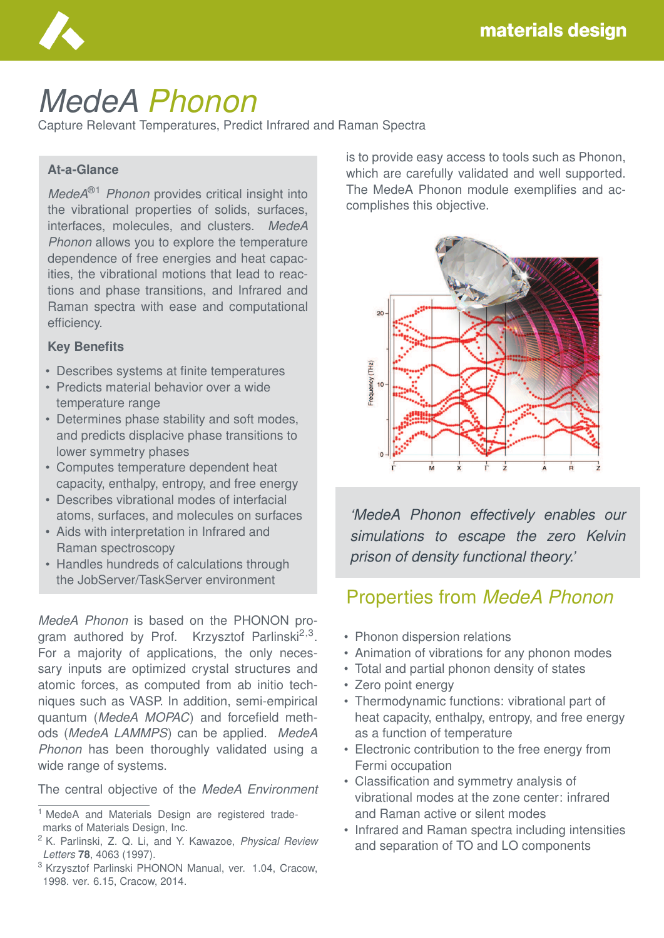

# *MedeA Phonon*

Capture Relevant Temperatures, Predict Infrared and Raman Spectra

#### **At-a-Glance**

*MedeA*®1 *Phonon* provides critical insight into the vibrational properties of solids, surfaces, interfaces, molecules, and clusters. *MedeA Phonon* allows you to explore the temperature dependence of free energies and heat capacities, the vibrational motions that lead to reactions and phase transitions, and Infrared and Raman spectra with ease and computational efficiency.

#### **Key Benefits**

- Describes systems at finite temperatures
- Predicts material behavior over a wide temperature range
- Determines phase stability and soft modes, and predicts displacive phase transitions to lower symmetry phases
- Computes temperature dependent heat capacity, enthalpy, entropy, and free energy
- Describes vibrational modes of interfacial atoms, surfaces, and molecules on surfaces
- Aids with interpretation in Infrared and Raman spectroscopy
- Handles hundreds of calculations through the JobServer/TaskServer environment

*MedeA Phonon* is based on the PHONON program authored by Prof. Krzysztof Parlinski<sup>2,3</sup>. For a majority of applications, the only necessary inputs are optimized crystal structures and atomic forces, as computed from ab initio techniques such as VASP. In addition, semi-empirical quantum (*MedeA MOPAC*) and forcefield methods (*MedeA LAMMPS*) can be applied. *MedeA Phonon* has been thoroughly validated using a wide range of systems.

The central objective of the *MedeA Environment*

is to provide easy access to tools such as Phonon, which are carefully validated and well supported. The MedeA Phonon module exemplifies and accomplishes this objective.



*'MedeA Phonon effectively enables our simulations to escape the zero Kelvin prison of density functional theory.'*

## Properties from *MedeA Phonon*

- Phonon dispersion relations
- Animation of vibrations for any phonon modes
- Total and partial phonon density of states
- Zero point energy
- Thermodynamic functions: vibrational part of heat capacity, enthalpy, entropy, and free energy as a function of temperature
- Electronic contribution to the free energy from Fermi occupation
- Classification and symmetry analysis of vibrational modes at the zone center: infrared and Raman active or silent modes
- Infrared and Raman spectra including intensities and separation of TO and LO components

<sup>&</sup>lt;sup>1</sup> MedeA and Materials Design are registered trademarks of Materials Design, Inc.

<sup>2</sup> K. Parlinski, Z. Q. Li, and Y. Kawazoe, *Physical Review Letters* **78**, 4063 (1997).

<sup>3</sup> Krzysztof Parlinski PHONON Manual, ver. 1.04, Cracow, 1998. ver. 6.15, Cracow, 2014.